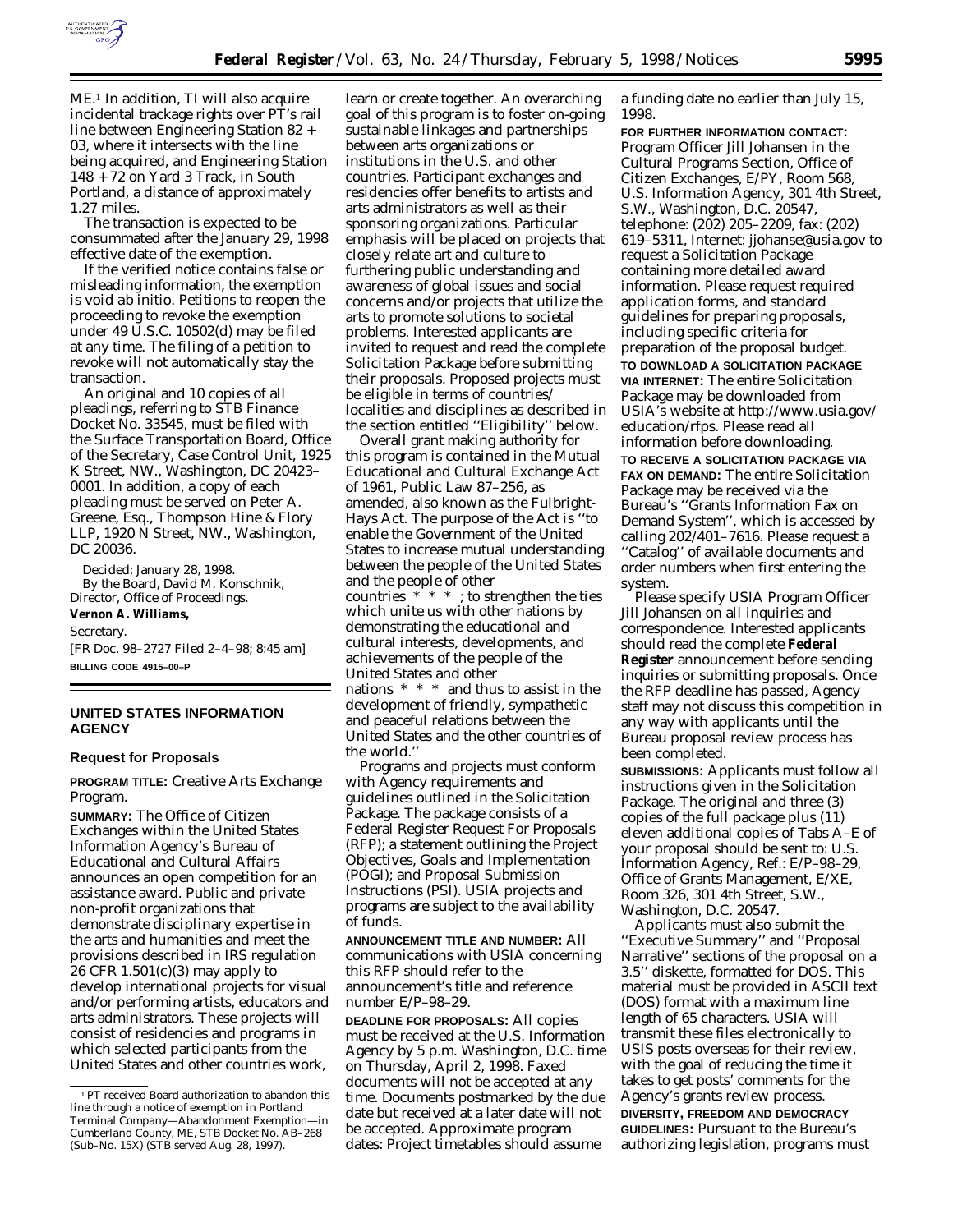

ME.1 In addition, TI will also acquire incidental trackage rights over PT's rail line between Engineering Station 82 + 03, where it intersects with the line being acquired, and Engineering Station 148 + 72 on Yard 3 Track, in South Portland, a distance of approximately 1.27 miles.

The transaction is expected to be consummated after the January 29, 1998 effective date of the exemption.

If the verified notice contains false or misleading information, the exemption is void *ab initio.* Petitions to reopen the proceeding to revoke the exemption under 49 U.S.C. 10502(d) may be filed at any time. The filing of a petition to revoke will not automatically stay the transaction.

An original and 10 copies of all pleadings, referring to STB Finance Docket No. 33545, must be filed with the Surface Transportation Board, Office of the Secretary, Case Control Unit, 1925 K Street, NW., Washington, DC 20423– 0001. In addition, a copy of each pleading must be served on Peter A. Greene, Esq., Thompson Hine & Flory LLP, 1920 N Street, NW., Washington, DC 20036.

Decided: January 28, 1998. By the Board, David M. Konschnik, Director, Office of Proceedings.

#### **Vernon A. Williams,**

*Secretary.*

[FR Doc. 98–2727 Filed 2–4–98; 8:45 am] **BILLING CODE 4915–00–P**

# **UNITED STATES INFORMATION AGENCY**

### **Request for Proposals**

**PROGRAM TITLE:** Creative Arts Exchange Program.

**SUMMARY:** The Office of Citizen Exchanges within the United States Information Agency's Bureau of Educational and Cultural Affairs announces an open competition for an assistance award. Public and private non-profit organizations that demonstrate disciplinary expertise in the arts and humanities and meet the provisions described in IRS regulation 26 CFR 1.501(c)(3) may apply to develop international projects for visual and/or performing artists, educators and arts administrators. These projects will consist of residencies and programs in which selected participants from the United States and other countries work,

learn or create together. An overarching goal of this program is to foster on-going sustainable linkages and partnerships between arts organizations or institutions in the U.S. and other countries. Participant exchanges and residencies offer benefits to artists and arts administrators as well as their sponsoring organizations. Particular emphasis will be placed on projects that closely relate art and culture to furthering public understanding and awareness of global issues and social concerns and/or projects that utilize the arts to promote solutions to societal problems. Interested applicants are invited to request and read the complete Solicitation Package before submitting their proposals. Proposed projects must be eligible in terms of countries/ localities and disciplines as described in the section entitled ''Eligibility'' below.

Overall grant making authority for this program is contained in the Mutual Educational and Cultural Exchange Act of 1961, Public Law 87–256, as amended, also known as the Fulbright-Hays Act. The purpose of the Act is ''to enable the Government of the United States to increase mutual understanding between the people of the United States and the people of other countries  $*^* * *$ ; to strengthen the ties which unite us with other nations by demonstrating the educational and cultural interests, developments, and achievements of the people of the United States and other nations \* \* \* and thus to assist in the development of friendly, sympathetic and peaceful relations between the United States and the other countries of the world.''

Programs and projects must conform with Agency requirements and guidelines outlined in the Solicitation Package. The package consists of a Federal Register Request For Proposals (RFP); a statement outlining the Project Objectives, Goals and Implementation (POGI); and Proposal Submission Instructions (PSI). USIA projects and programs are subject to the availability of funds.

**ANNOUNCEMENT TITLE AND NUMBER:** All communications with USIA concerning this RFP should refer to the announcement's title and reference number *E/P–98–29.*

**DEADLINE FOR PROPOSALS:** All copies must be received at the U.S. Information Agency by 5 p.m. Washington, D.C. time on Thursday, April 2, 1998. Faxed documents will not be accepted at any time. Documents postmarked by the due date but received at a later date will not be accepted. Approximate program dates: Project timetables should assume

a funding date no earlier than July 15, 1998.

**FOR FURTHER INFORMATION CONTACT:** Program Officer Jill Johansen in the Cultural Programs Section, Office of Citizen Exchanges, E/PY, Room 568, U.S. Information Agency, 301 4th Street, S.W., Washington, D.C. 20547, telephone: (202) 205–2209, fax: (202) 619–5311, Internet: jjohanse@usia.gov to request a Solicitation Package containing more detailed award information. Please request required application forms, and standard guidelines for preparing proposals, including specific criteria for preparation of the proposal budget. **TO DOWNLOAD A SOLICITATION PACKAGE VIA INTERNET:** The entire Solicitation Package may be downloaded from USIA's website at http://www.usia.gov/ education/rfps. Please read all information before downloading. **TO RECEIVE A SOLICITATION PACKAGE VIA FAX ON DEMAND:** The entire Solicitation Package may be received via the Bureau's ''Grants Information Fax on Demand System'', which is accessed by calling 202/401–7616. Please request a ''Catalog'' of available documents and order numbers when first entering the system.

Please specify USIA Program Officer Jill Johansen on all inquiries and correspondence. Interested applicants should read the complete **Federal Register** announcement before sending inquiries or submitting proposals. Once the RFP deadline has passed, Agency staff may not discuss this competition in any way with applicants until the Bureau proposal review process has been completed.

**SUBMISSIONS:** Applicants must follow all instructions given in the Solicitation Package. The original and three (3) copies of the full package plus (11) eleven additional copies of Tabs A–E of your proposal should be sent to: U.S. Information Agency, Ref.: *E/P–98–29,* Office of Grants Management, E/XE, Room 326, 301 4th Street, S.W., Washington, D.C. 20547.

Applicants must also submit the ''Executive Summary'' and ''Proposal Narrative'' sections of the proposal on a 3.5'' diskette, formatted for DOS. This material must be provided in ASCII text (DOS) format with a maximum line length of 65 characters. USIA will transmit these files electronically to USIS posts overseas for their review, with the goal of reducing the time it takes to get posts' comments for the Agency's grants review process. **DIVERSITY, FREEDOM AND DEMOCRACY GUIDELINES:** Pursuant to the Bureau's authorizing legislation, programs must

<sup>1</sup>PT received Board authorization to abandon this line through a notice of exemption in *Portland Terminal Company—Abandonment Exemption—in Cumberland County, ME,* STB Docket No. AB–268 (Sub–No. 15X) (STB served Aug. 28, 1997).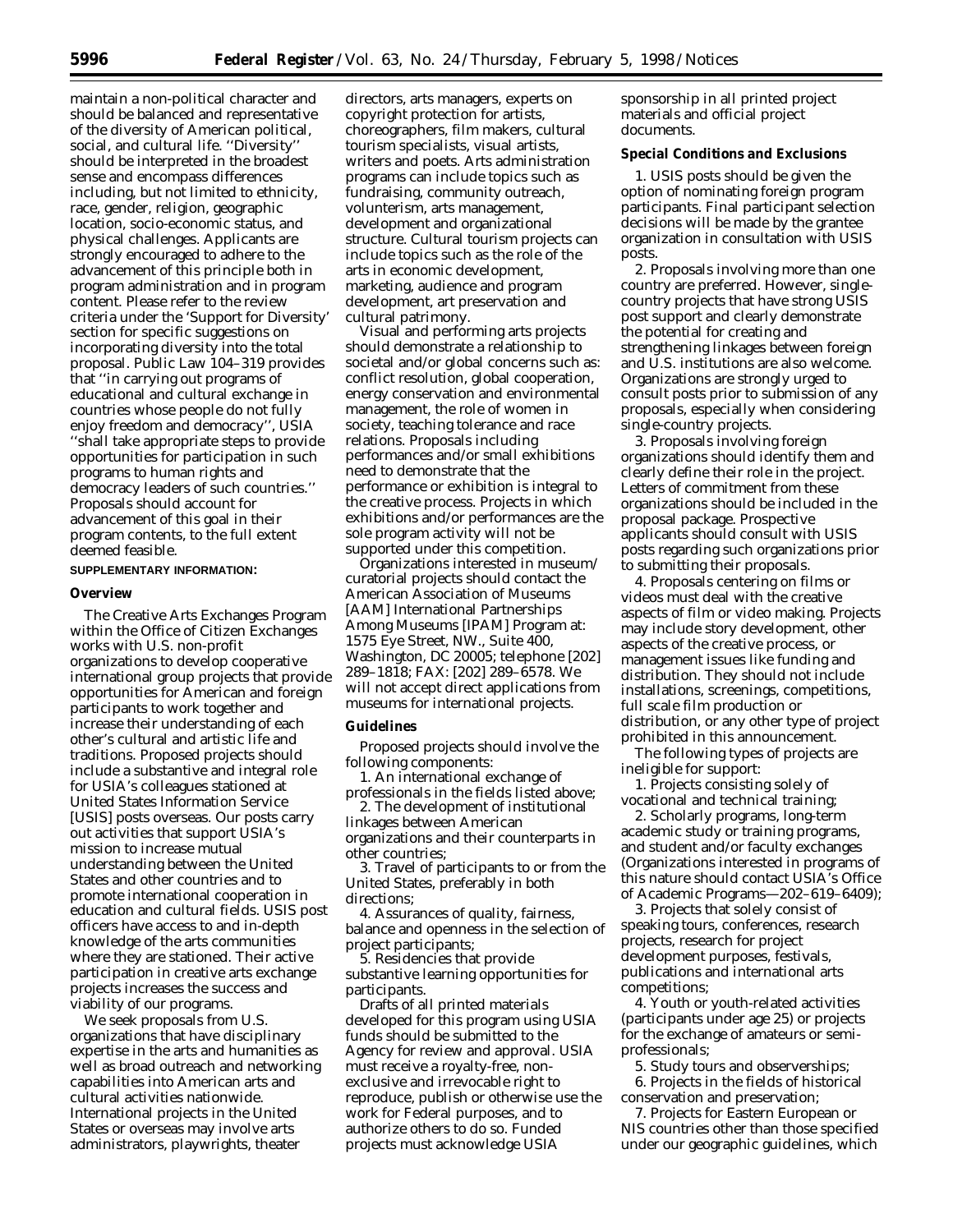maintain a non-political character and should be balanced and representative of the diversity of American political, social, and cultural life. ''Diversity'' should be interpreted in the broadest sense and encompass differences including, but not limited to ethnicity, race, gender, religion, geographic location, socio-economic status, and physical challenges. Applicants are strongly encouraged to adhere to the advancement of this principle both in program administration and in program content. Please refer to the review criteria under the 'Support for Diversity' section for specific suggestions on incorporating diversity into the total proposal. Public Law 104–319 provides that ''in carrying out programs of educational and cultural exchange in countries whose people do not fully enjoy freedom and democracy'', USIA ''shall take appropriate steps to provide opportunities for participation in such programs to human rights and democracy leaders of such countries.'' Proposals should account for advancement of this goal in their program contents, to the full extent deemed feasible.

## **SUPPLEMENTARY INFORMATION:**

#### **Overview**

The Creative Arts Exchanges Program within the Office of Citizen Exchanges works with U.S. non-profit organizations to develop cooperative international group projects that provide opportunities for American and foreign participants to work together and increase their understanding of each other's cultural and artistic life and traditions. Proposed projects should include a substantive and integral role for USIA's colleagues stationed at United States Information Service [USIS] posts overseas. Our posts carry out activities that support USIA's mission to increase mutual understanding between the United States and other countries and to promote international cooperation in education and cultural fields. USIS post officers have access to and in-depth knowledge of the arts communities where they are stationed. Their active participation in creative arts exchange projects increases the success and viability of our programs.

We seek proposals from U.S. organizations that have disciplinary expertise in the arts and humanities as well as broad outreach and networking capabilities into American arts and cultural activities nationwide. International projects in the United States or overseas may involve arts administrators, playwrights, theater

directors, arts managers, experts on copyright protection for artists, choreographers, film makers, cultural tourism specialists, visual artists, writers and poets. Arts administration programs can include topics such as fundraising, community outreach, volunterism, arts management, development and organizational structure. Cultural tourism projects can include topics such as the role of the arts in economic development, marketing, audience and program development, art preservation and cultural patrimony.

Visual and performing arts projects should demonstrate a relationship to societal and/or global concerns such as: conflict resolution, global cooperation, energy conservation and environmental management, the role of women in society, teaching tolerance and race relations. Proposals including performances and/or small exhibitions need to demonstrate that the performance or exhibition is integral to the creative process. Projects in which exhibitions and/or performances are the sole program activity will not be supported under this competition.

Organizations interested in museum/ curatorial projects should contact the American Association of Museums [AAM] International Partnerships Among Museums [IPAM] Program at: 1575 Eye Street, NW., Suite 400, Washington, DC 20005; telephone [202] 289–1818; FAX: [202] 289–6578. We will not accept direct applications from museums for international projects.

# **Guidelines**

Proposed projects should involve the following components:

1. An international exchange of professionals in the fields listed above;

2. The development of institutional linkages between American organizations and their counterparts in other countries;

3. Travel of participants to or from the United States, preferably in both directions;

4. Assurances of quality, fairness, balance and openness in the selection of project participants;

5. Residencies that provide substantive learning opportunities for participants.

Drafts of all printed materials developed for this program using USIA funds should be submitted to the Agency for review and approval. USIA must receive a royalty-free, nonexclusive and irrevocable right to reproduce, publish or otherwise use the work for Federal purposes, and to authorize others to do so. Funded projects must acknowledge USIA

sponsorship in all printed project materials and official project documents.

# **Special Conditions and Exclusions**

1. USIS posts should be given the option of nominating foreign program participants. Final participant selection decisions will be made by the grantee organization in consultation with USIS posts.

2. Proposals involving more than one country are preferred. However, singlecountry projects that have strong USIS post support and clearly demonstrate the potential for creating and strengthening linkages between foreign and U.S. institutions are also welcome. Organizations are strongly urged to consult posts prior to submission of any proposals, especially when considering single-country projects.

3. Proposals involving foreign organizations should identify them and clearly define their role in the project. Letters of commitment from these organizations should be included in the proposal package. Prospective applicants should consult with USIS posts regarding such organizations prior to submitting their proposals.

4. Proposals centering on films or videos must deal with the creative aspects of film or video making. Projects may include story development, other aspects of the creative process, or management issues like funding and distribution. They should not include installations, screenings, competitions, full scale film production or distribution, or any other type of project prohibited in this announcement.

The following types of projects are ineligible for support:

1. Projects consisting solely of vocational and technical training;

2. Scholarly programs, long-term academic study or training programs, and student and/or faculty exchanges (Organizations interested in programs of this nature should contact USIA's Office of Academic Programs—202–619–6409);

3. Projects that solely consist of speaking tours, conferences, research projects, research for project development purposes, festivals, publications and international arts competitions;

4. Youth or youth-related activities (participants under age 25) or projects for the exchange of amateurs or semiprofessionals;

5. Study tours and observerships; 6. Projects in the fields of historical

conservation and preservation; 7. Projects for Eastern European or NIS countries other than those specified under our geographic guidelines, which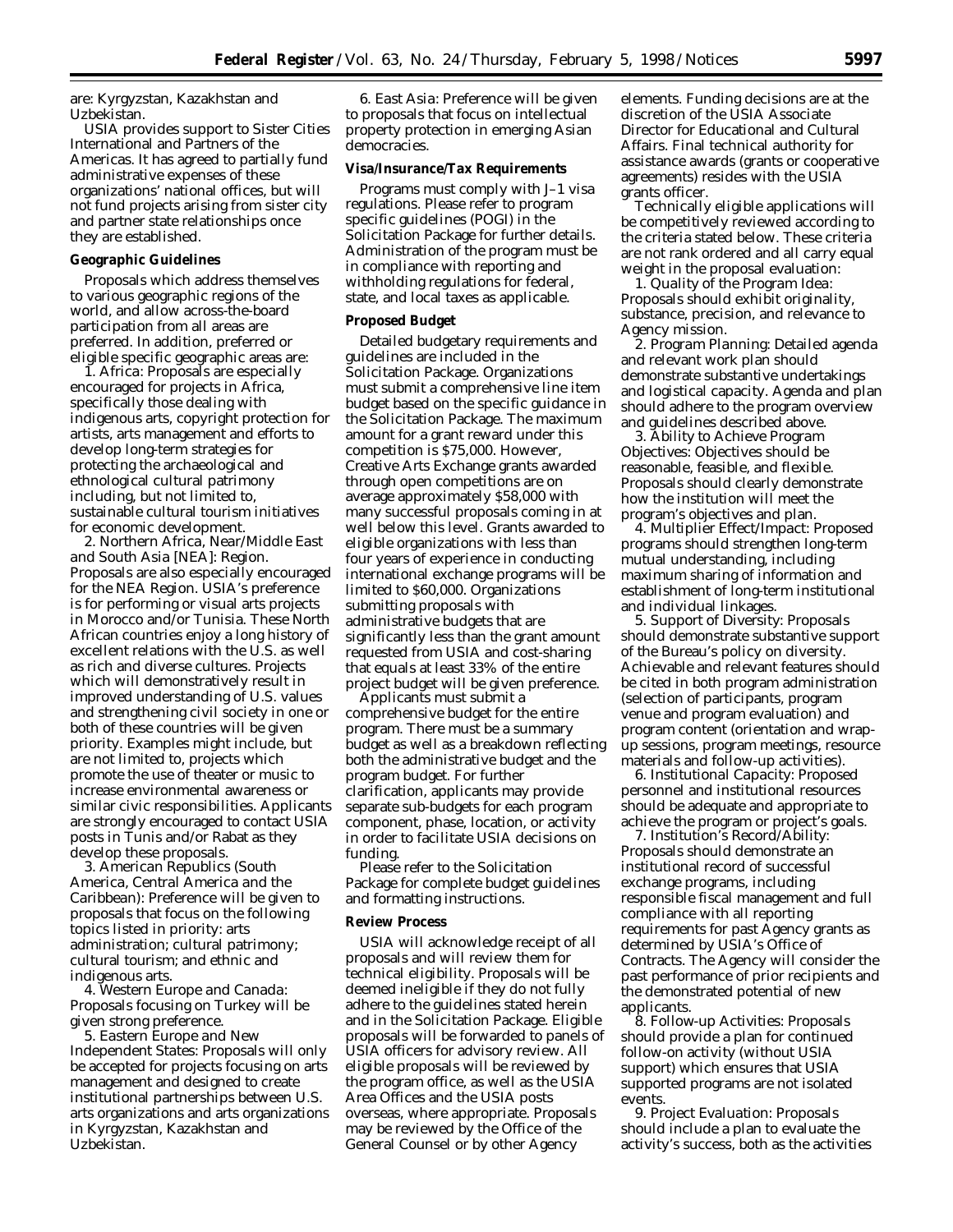are: Kyrgyzstan, Kazakhstan and Uzbekistan.

USIA provides support to Sister Cities International and Partners of the Americas. It has agreed to partially fund administrative expenses of these organizations' national offices, but will not fund projects arising from sister city and partner state relationships once they are established.

### **Geographic Guidelines**

Proposals which address themselves to various geographic regions of the world, and allow across-the-board participation from all areas are preferred. In addition, preferred or eligible specific geographic areas are:

*1. Africa:* Proposals are especially encouraged for projects in Africa, specifically those dealing with indigenous arts, copyright protection for artists, arts management and efforts to develop long-term strategies for protecting the archaeological and ethnological cultural patrimony including, but not limited to, sustainable cultural tourism initiatives for economic development.

*2. Northern Africa, Near/Middle East and South Asia [NEA]: Region.* Proposals are also especially encouraged for the NEA Region. USIA's preference is for performing or visual arts projects in Morocco and/or Tunisia. These North African countries enjoy a long history of excellent relations with the U.S. as well as rich and diverse cultures. Projects which will demonstratively result in improved understanding of U.S. values and strengthening civil society in one or both of these countries will be given priority. Examples might include, but are not limited to, projects which promote the use of theater or music to increase environmental awareness or similar civic responsibilities. Applicants are strongly encouraged to contact USIA posts in Tunis and/or Rabat as they develop these proposals.

*3. American Republics (South America, Central America and the Caribbean):* Preference will be given to proposals that focus on the following topics listed in priority: arts administration; cultural patrimony; cultural tourism; and ethnic and indigenous arts.

*4. Western Europe and Canada:* Proposals focusing on Turkey will be given strong preference.

*5. Eastern Europe and New Independent States:* Proposals will only be accepted for projects focusing on arts management and designed to create institutional partnerships between U.S. arts organizations and arts organizations in Kyrgyzstan, Kazakhstan and Uzbekistan.

*6. East Asia:* Preference will be given to proposals that focus on intellectual property protection in emerging Asian democracies.

# **Visa/Insurance/Tax Requirements**

Programs must comply with J–1 visa regulations. Please refer to program specific guidelines (POGI) in the Solicitation Package for further details. Administration of the program must be in compliance with reporting and withholding regulations for federal, state, and local taxes as applicable.

## **Proposed Budget**

Detailed budgetary requirements and guidelines are included in the Solicitation Package. Organizations must submit a comprehensive line item budget based on the specific guidance in the Solicitation Package. The maximum amount for a grant reward under this competition is \$75,000. However, Creative Arts Exchange grants awarded through open competitions are on average approximately \$58,000 with many successful proposals coming in at well below this level. Grants awarded to eligible organizations with less than four years of experience in conducting international exchange programs will be limited to \$60,000. Organizations submitting proposals with administrative budgets that are significantly less than the grant amount requested from USIA and cost-sharing that equals at least 33% of the entire project budget will be given preference.

Applicants must submit a comprehensive budget for the entire program. There must be a summary budget as well as a breakdown reflecting both the administrative budget and the program budget. For further clarification, applicants may provide separate sub-budgets for each program component, phase, location, or activity in order to facilitate USIA decisions on funding.

Please refer to the Solicitation Package for complete budget guidelines and formatting instructions.

### **Review Process**

USIA will acknowledge receipt of all proposals and will review them for technical eligibility. Proposals will be deemed ineligible if they do not fully adhere to the guidelines stated herein and in the Solicitation Package. Eligible proposals will be forwarded to panels of USIA officers for advisory review. All eligible proposals will be reviewed by the program office, as well as the USIA Area Offices and the USIA posts overseas, where appropriate. Proposals may be reviewed by the Office of the General Counsel or by other Agency

elements. Funding decisions are at the discretion of the USIA Associate Director for Educational and Cultural Affairs. Final technical authority for assistance awards (grants or cooperative agreements) resides with the USIA grants officer.

Technically eligible applications will be competitively reviewed according to the criteria stated below. These criteria are not rank ordered and all carry equal weight in the proposal evaluation:

*1. Quality of the Program Idea:* Proposals should exhibit originality, substance, precision, and relevance to Agency mission.

*2. Program Planning:* Detailed agenda and relevant work plan should demonstrate substantive undertakings and logistical capacity. Agenda and plan should adhere to the program overview and guidelines described above.

*3. Ability to Achieve Program Objectives:* Objectives should be reasonable, feasible, and flexible. Proposals should clearly demonstrate how the institution will meet the program's objectives and plan.

*4. Multiplier Effect/Impact:* Proposed programs should strengthen long-term mutual understanding, including maximum sharing of information and establishment of long-term institutional and individual linkages.

*5. Support of Diversity:* Proposals should demonstrate substantive support of the Bureau's policy on diversity. Achievable and relevant features should be cited in both program administration (selection of participants, program venue and program evaluation) and program content (orientation and wrapup sessions, program meetings, resource materials and follow-up activities).

*6. Institutional Capacity:* Proposed personnel and institutional resources should be adequate and appropriate to achieve the program or project's goals.

*7. Institution's Record/Ability:* Proposals should demonstrate an institutional record of successful exchange programs, including responsible fiscal management and full compliance with all reporting requirements for past Agency grants as determined by USIA's Office of Contracts. The Agency will consider the past performance of prior recipients and the demonstrated potential of new applicants.

*8. Follow-up Activities:* Proposals should provide a plan for continued follow-on activity (without USIA support) which ensures that USIA supported programs are not isolated events.

*9. Project Evaluation:* Proposals should include a plan to evaluate the activity's success, both as the activities